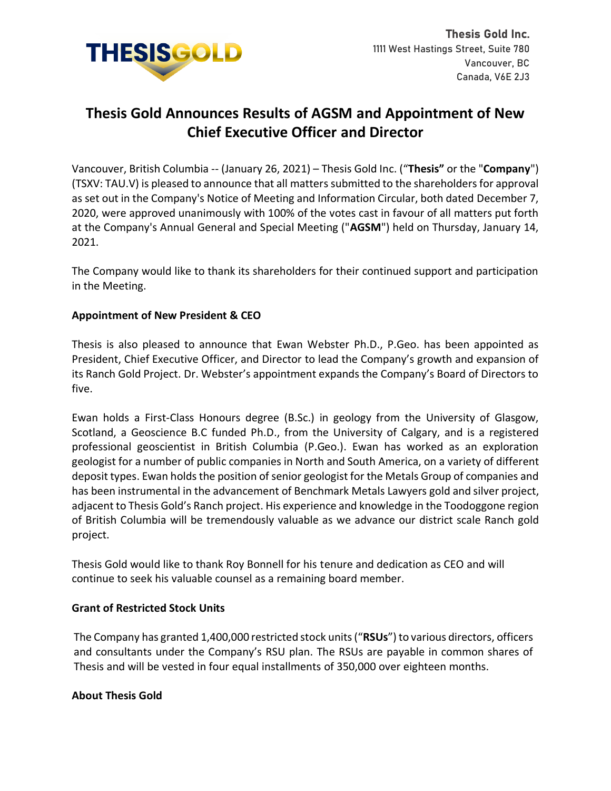

# **Thesis Gold Announces Results of AGSM and Appointment of New Chief Executive Officer and Director**

Vancouver, British Columbia -- (January 26, 2021) – Thesis Gold Inc. ("**Thesis"** or the "**Company**") (TSXV: TAU.V) is pleased to announce that all matters submitted to the shareholders for approval as set out in the Company's Notice of Meeting and Information Circular, both dated December 7, 2020, were approved unanimously with 100% of the votes cast in favour of all matters put forth at the Company's Annual General and Special Meeting ("**AGSM**") held on Thursday, January 14, 2021.

The Company would like to thank its shareholders for their continued support and participation in the Meeting.

## **Appointment of New President & CEO**

Thesis is also pleased to announce that Ewan Webster Ph.D., P.Geo. has been appointed as President, Chief Executive Officer, and Director to lead the Company's growth and expansion of its Ranch Gold Project. Dr. Webster's appointment expands the Company's Board of Directors to five.

Ewan holds a First-Class Honours degree (B.Sc.) in geology from the University of Glasgow, Scotland, a Geoscience B.C funded Ph.D., from the University of Calgary, and is a registered professional geoscientist in British Columbia (P.Geo.). Ewan has worked as an exploration geologist for a number of public companies in North and South America, on a variety of different deposit types. Ewan holds the position of senior geologist for the Metals Group of companies and has been instrumental in the advancement of Benchmark Metals Lawyers gold and silver project, adjacent to Thesis Gold's Ranch project. His experience and knowledge in the Toodoggone region of British Columbia will be tremendously valuable as we advance our district scale Ranch gold project.

Thesis Gold would like to thank Roy Bonnell for his tenure and dedication as CEO and will continue to seek his valuable counsel as a remaining board member.

## **Grant of Restricted Stock Units**

The Company has granted 1,400,000 restricted stock units ("**RSUs**") to various directors, officers and consultants under the Company's RSU plan. The RSUs are payable in common shares of Thesis and will be vested in four equal installments of 350,000 over eighteen months.

## **About Thesis Gold**